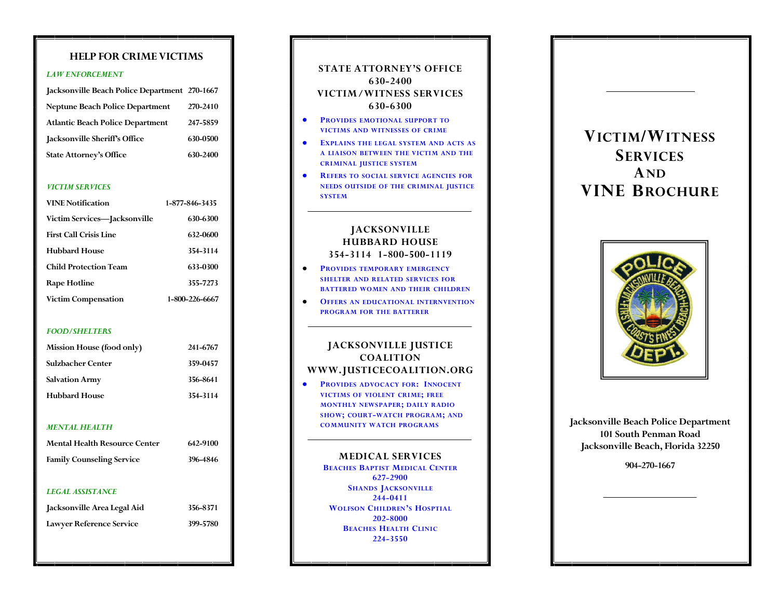## **HELP FOR CRIME VICTIMS**

### *LAW ENFORCEMENT*

| Jacksonville Beach Police Department 270-1667 |          |
|-----------------------------------------------|----------|
| <b>Neptune Beach Police Department</b>        | 270-2410 |
| <b>Atlantic Beach Police Department</b>       | 247-5859 |
| Jacksonville Sheriff's Office                 | 630-0500 |
| <b>State Attorney's Office</b>                | 630-2400 |

### *VICTIM SERVICES*

| <b>VINE Notification</b>      | 1-877-846-3435 |
|-------------------------------|----------------|
| Victim Services—Jacksonville  | 630-6300       |
| <b>First Call Crisis Line</b> | 632-0600       |
| Hubbard House                 | 354-3114       |
| Child Protection Team         | 633-0300       |
| Rape Hotline                  | 355-7273       |
| <b>Victim Compensation</b>    | 1-800-226-6667 |

### *FOOD/SHELTERS*

| Mission House (food only) | 241-6767 |
|---------------------------|----------|
| Sulzbacher Center         | 359-0457 |
| <b>Salvation Army</b>     | 356-8641 |
| <b>Hubbard House</b>      | 354-3114 |

### *MENTAL HEALTH*

| <b>Mental Health Resource Center</b> | 642-9100 |
|--------------------------------------|----------|
| <b>Family Counseling Service</b>     | 396-4846 |
| <b>LEGAL ASSISTANCE</b>              |          |
| Jacksonville Area Legal Aid          | 356-8371 |

**Lawyer Reference Service 399-5780**

| <b>STATE ATTORNEY'S OFFICE</b> |
|--------------------------------|
| 630-2400                       |
| VICTIM / WITNESS SERVICES      |
| 630-6300                       |

- **PROVIDES EMOTIONAL SUPPORT TO VICTIMS AND WITNESSES OF CRIME**
- **EXPLAINS THE LEGAL SYSTEM AND ACTS AS A LIAISON BETWEEN THE VICTIM AND THE CRIMINAL JUSTICE SYSTEM**
- **REFERS TO SOCIAL SERVICE AGENCIES FOR NEEDS OUTSIDE OF THE CRIMINAL JUSTICE SYSTEM**

# **JACKSONVILLE HUBBARD HOUSE 354-3114 1-800-500-1119**

- $\bullet$ **PROVIDES TEMPORARY EMERGENCY SHELTER AND RELATED SERVICES FOR BATTERED WOMEN AND THEIR CHILDREN**
- **OFFERS AN EDUCATIONAL INTERNVENTION PROGRAM FOR THE BATTERER**

# **JACKSONVILLE JUSTICE COALITION WWW.JUSTICECOALITION.ORG**

**PROVIDES ADVOCACY FOR: INNOCENT VICTIMS OF VIOLENT CRIME; FREE MONTHLY NEWSPAPER; DAILY RADIO SHOW; COURT-WATCH PROGRAM; AND COMMUNITY WATCH PROGRAMS**

## **MEDICAL SERVICES**

**BEACHES BAPTIST MEDICAL CENTER 627-2900 SHANDS JACKSONVILLE 244-0411 WOLFSON CHILDREN'S HOSPTIAL 202-8000 BEACHES HEALTH CLINIC 224-3550**

# **VICTIM/WITNESS SERVICES AND V INE BROCHURE**



**Jacksonville Beach Police Department 101 South Penman Road Jacksonville Beach, Florida 32250**

**904-270-1667**